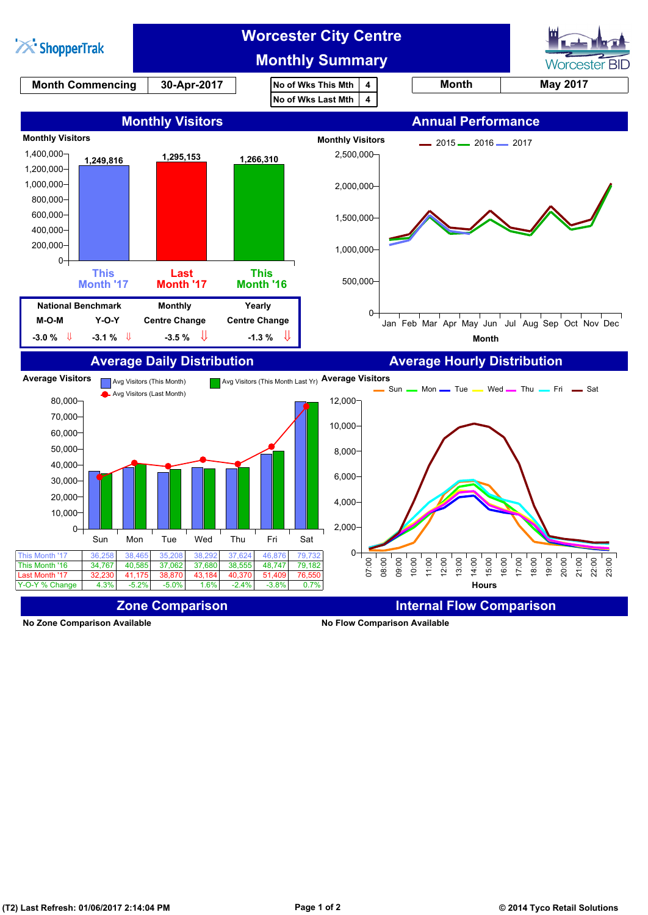

**No Zone Comparison Available No Flow Comparison Available**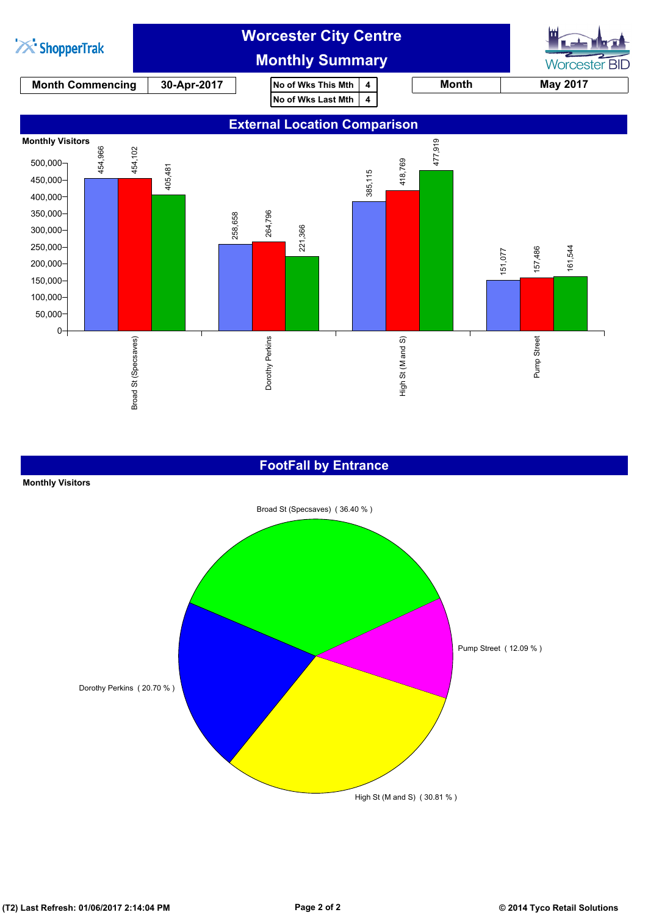

#### **FootFall by Entrance**